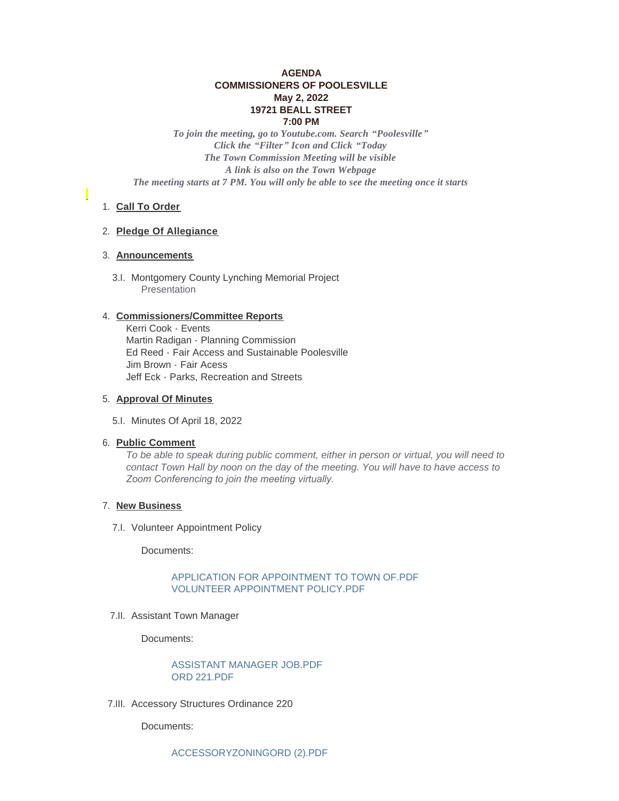# **AGENDA COMMISSIONERS OF POOLESVILLE May 2, 2022 19721 BEALL STREET 7:00 PM**

*To join the meeting, go to Youtube.com. Search "Poolesville" Click the "Filter" Icon and Click "Today The Town Commission Meeting will be visible A link is also on the Town Webpage The meeting starts at 7 PM. You will only be able to see the meeting once it starts*

# 1. Call To Order

### **Pledge Of Allegiance** 2.

## **Announcements** 3.

3.I. Montgomery County Lynching Memorial Project Presentation

### **Commissioners/Committee Reports** 4.

Kerri Cook - Events Martin Radigan - Planning Commission Ed Reed - Fair Access and Sustainable Poolesville Jim Brown - Fair Acess Jeff Eck - Parks, Recreation and Streets

### **Approval Of Minutes** 5.

5.I. Minutes Of April 18, 2022

#### **Public Comment** 6.

*To be able to speak during public comment, either in person or virtual, you will need to contact Town Hall by noon on the day of the meeting. You will have to have access to Zoom Conferencing to join the meeting virtually.* 

#### 7. New Business

7.I. Volunteer Appointment Policy

Documents:

# [APPLICATION FOR APPOINTMENT TO TOWN OF.PDF](https://www.poolesvillemd.gov/AgendaCenter/ViewFile/Item/4221?fileID=7214) [VOLUNTEER APPOINTMENT POLICY.PDF](https://www.poolesvillemd.gov/AgendaCenter/ViewFile/Item/4221?fileID=7217)

7.II. Assistant Town Manager

Documents:

[ASSISTANT MANAGER JOB.PDF](https://www.poolesvillemd.gov/AgendaCenter/ViewFile/Item/4220?fileID=7212) [ORD 221.PDF](https://www.poolesvillemd.gov/AgendaCenter/ViewFile/Item/4220?fileID=7213)

7.III. Accessory Structures Ordinance 220

Documents: